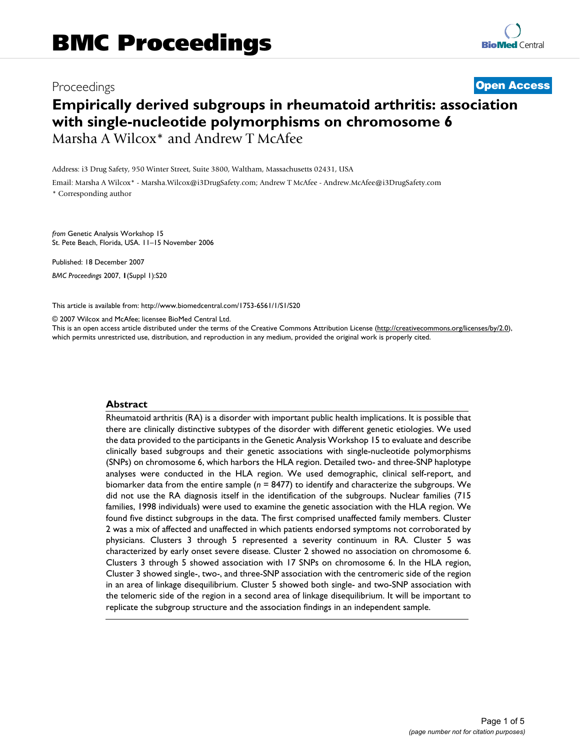## Proceedings **[Open Access](http://www.biomedcentral.com/info/about/charter/)**

# **Empirically derived subgroups in rheumatoid arthritis: association with single-nucleotide polymorphisms on chromosome 6** Marsha A Wilcox\* and Andrew T McAfee

Address: i3 Drug Safety, 950 Winter Street, Suite 3800, Waltham, Massachusetts 02431, USA

Email: Marsha A Wilcox\* - Marsha.Wilcox@i3DrugSafety.com; Andrew T McAfee - Andrew.McAfee@i3DrugSafety.com \* Corresponding author

*from* Genetic Analysis Workshop 15 St. Pete Beach, Florida, USA. 11–15 November 2006

Published: 18 December 2007 *BMC Proceedings* 2007, **1**(Suppl 1):S20

[This article is available from: http://www.biomedcentral.com/1753-6561/1/S1/S20](http://www.biomedcentral.com/1753-6561/1/S1/S20)

© 2007 Wilcox and McAfee; licensee BioMed Central Ltd.

This is an open access article distributed under the terms of the Creative Commons Attribution License [\(http://creativecommons.org/licenses/by/2.0\)](http://creativecommons.org/licenses/by/2.0), which permits unrestricted use, distribution, and reproduction in any medium, provided the original work is properly cited.

#### **Abstract**

Rheumatoid arthritis (RA) is a disorder with important public health implications. It is possible that there are clinically distinctive subtypes of the disorder with different genetic etiologies. We used the data provided to the participants in the Genetic Analysis Workshop 15 to evaluate and describe clinically based subgroups and their genetic associations with single-nucleotide polymorphisms (SNPs) on chromosome 6, which harbors the HLA region. Detailed two- and three-SNP haplotype analyses were conducted in the HLA region. We used demographic, clinical self-report, and biomarker data from the entire sample (*n* = 8477) to identify and characterize the subgroups. We did not use the RA diagnosis itself in the identification of the subgroups. Nuclear families (715 families, 1998 individuals) were used to examine the genetic association with the HLA region. We found five distinct subgroups in the data. The first comprised unaffected family members. Cluster 2 was a mix of affected and unaffected in which patients endorsed symptoms not corroborated by physicians. Clusters 3 through 5 represented a severity continuum in RA. Cluster 5 was characterized by early onset severe disease. Cluster 2 showed no association on chromosome 6. Clusters 3 through 5 showed association with 17 SNPs on chromosome 6. In the HLA region, Cluster 3 showed single-, two-, and three-SNP association with the centromeric side of the region in an area of linkage disequilibrium. Cluster 5 showed both single- and two-SNP association with the telomeric side of the region in a second area of linkage disequilibrium. It will be important to replicate the subgroup structure and the association findings in an independent sample.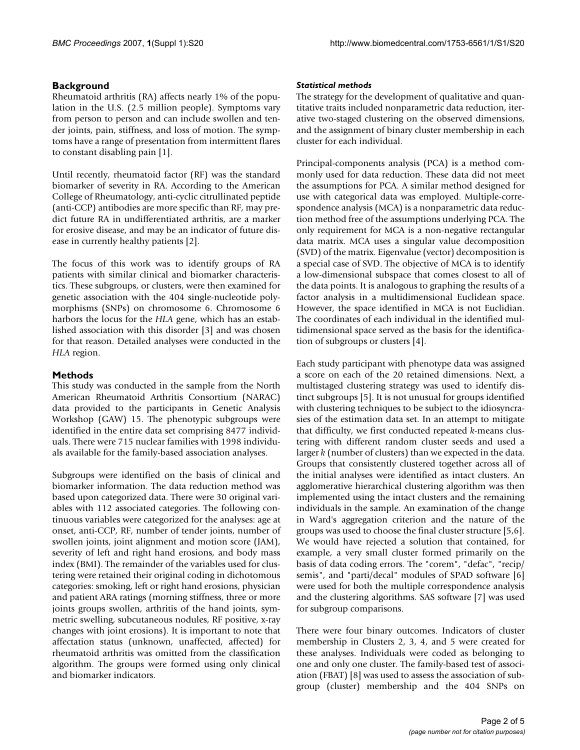#### **Background**

Rheumatoid arthritis (RA) affects nearly 1% of the population in the U.S. (2.5 million people). Symptoms vary from person to person and can include swollen and tender joints, pain, stiffness, and loss of motion. The symptoms have a range of presentation from intermittent flares to constant disabling pain [1].

Until recently, rheumatoid factor (RF) was the standard biomarker of severity in RA. According to the American College of Rheumatology, anti-cyclic citrullinated peptide (anti-CCP) antibodies are more specific than RF, may predict future RA in undifferentiated arthritis, are a marker for erosive disease, and may be an indicator of future disease in currently healthy patients [2].

The focus of this work was to identify groups of RA patients with similar clinical and biomarker characteristics. These subgroups, or clusters, were then examined for genetic association with the 404 single-nucleotide polymorphisms (SNPs) on chromosome 6. Chromosome 6 harbors the locus for the *HLA* gene, which has an established association with this disorder [3] and was chosen for that reason. Detailed analyses were conducted in the *HLA* region.

#### **Methods**

This study was conducted in the sample from the North American Rheumatoid Arthritis Consortium (NARAC) data provided to the participants in Genetic Analysis Workshop (GAW) 15. The phenotypic subgroups were identified in the entire data set comprising 8477 individuals. There were 715 nuclear families with 1998 individuals available for the family-based association analyses.

Subgroups were identified on the basis of clinical and biomarker information. The data reduction method was based upon categorized data. There were 30 original variables with 112 associated categories. The following continuous variables were categorized for the analyses: age at onset, anti-CCP, RF, number of tender joints, number of swollen joints, joint alignment and motion score (JAM), severity of left and right hand erosions, and body mass index (BMI). The remainder of the variables used for clustering were retained their original coding in dichotomous categories: smoking, left or right hand erosions, physician and patient ARA ratings (morning stiffness, three or more joints groups swollen, arthritis of the hand joints, symmetric swelling, subcutaneous nodules, RF positive, x-ray changes with joint erosions). It is important to note that affectation status (unknown, unaffected, affected) for rheumatoid arthritis was omitted from the classification algorithm. The groups were formed using only clinical and biomarker indicators.

#### *Statistical methods*

The strategy for the development of qualitative and quantitative traits included nonparametric data reduction, iterative two-staged clustering on the observed dimensions, and the assignment of binary cluster membership in each cluster for each individual.

Principal-components analysis (PCA) is a method commonly used for data reduction. These data did not meet the assumptions for PCA. A similar method designed for use with categorical data was employed. Multiple-correspondence analysis (MCA) is a nonparametric data reduction method free of the assumptions underlying PCA. The only requirement for MCA is a non-negative rectangular data matrix. MCA uses a singular value decomposition (SVD) of the matrix. Eigenvalue (vector) decomposition is a special case of SVD. The objective of MCA is to identify a low-dimensional subspace that comes closest to all of the data points. It is analogous to graphing the results of a factor analysis in a multidimensional Euclidean space. However, the space identified in MCA is not Euclidian. The coordinates of each individual in the identified multidimensional space served as the basis for the identification of subgroups or clusters [4].

Each study participant with phenotype data was assigned a score on each of the 20 retained dimensions. Next, a multistaged clustering strategy was used to identify distinct subgroups [5]. It is not unusual for groups identified with clustering techniques to be subject to the idiosyncrasies of the estimation data set. In an attempt to mitigate that difficulty, we first conducted repeated *k*-means clustering with different random cluster seeds and used a larger *k* (number of clusters) than we expected in the data. Groups that consistently clustered together across all of the initial analyses were identified as intact clusters. An agglomerative hierarchical clustering algorithm was then implemented using the intact clusters and the remaining individuals in the sample. An examination of the change in Ward's aggregation criterion and the nature of the groups was used to choose the final cluster structure [5,6]. We would have rejected a solution that contained, for example, a very small cluster formed primarily on the basis of data coding errors. The "corem", "defac", "recip/ semis", and "parti/decal" modules of SPAD software [6] were used for both the multiple correspondence analysis and the clustering algorithms. SAS software [7] was used for subgroup comparisons.

There were four binary outcomes. Indicators of cluster membership in Clusters 2, 3, 4, and 5 were created for these analyses. Individuals were coded as belonging to one and only one cluster. The family-based test of association (FBAT) [8] was used to assess the association of subgroup (cluster) membership and the 404 SNPs on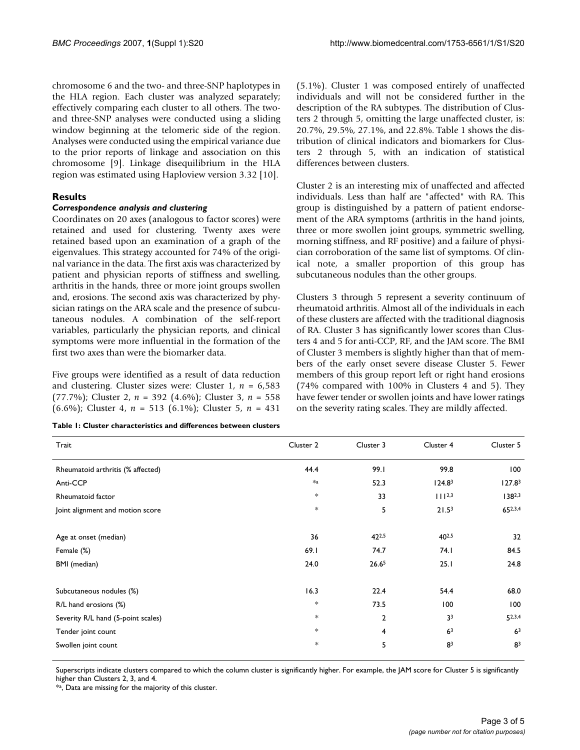chromosome 6 and the two- and three-SNP haplotypes in the HLA region. Each cluster was analyzed separately; effectively comparing each cluster to all others. The twoand three-SNP analyses were conducted using a sliding window beginning at the telomeric side of the region. Analyses were conducted using the empirical variance due to the prior reports of linkage and association on this chromosome [9]. Linkage disequilibrium in the HLA region was estimated using Haploview version 3.32 [10].

### **Results**

#### *Correspondence analysis and clustering*

Coordinates on 20 axes (analogous to factor scores) were retained and used for clustering. Twenty axes were retained based upon an examination of a graph of the eigenvalues. This strategy accounted for 74% of the original variance in the data. The first axis was characterized by patient and physician reports of stiffness and swelling, arthritis in the hands, three or more joint groups swollen and, erosions. The second axis was characterized by physician ratings on the ARA scale and the presence of subcutaneous nodules. A combination of the self-report variables, particularly the physician reports, and clinical symptoms were more influential in the formation of the first two axes than were the biomarker data.

Five groups were identified as a result of data reduction and clustering. Cluster sizes were: Cluster 1, *n* = 6,583 (77.7%); Cluster 2, *n* = 392 (4.6%); Cluster 3, *n* = 558 (6.6%); Cluster 4, *n* = 513 (6.1%); Cluster 5, *n* = 431

(5.1%). Cluster 1 was composed entirely of unaffected individuals and will not be considered further in the description of the RA subtypes. The distribution of Clusters 2 through 5, omitting the large unaffected cluster, is: 20.7%, 29.5%, 27.1%, and 22.8%. Table 1 shows the distribution of clinical indicators and biomarkers for Clusters 2 through 5, with an indication of statistical differences between clusters.

Cluster 2 is an interesting mix of unaffected and affected individuals. Less than half are "affected" with RA. This group is distinguished by a pattern of patient endorsement of the ARA symptoms (arthritis in the hand joints, three or more swollen joint groups, symmetric swelling, morning stiffness, and RF positive) and a failure of physician corroboration of the same list of symptoms. Of clinical note, a smaller proportion of this group has subcutaneous nodules than the other groups.

Clusters 3 through 5 represent a severity continuum of rheumatoid arthritis. Almost all of the individuals in each of these clusters are affected with the traditional diagnosis of RA. Cluster 3 has significantly lower scores than Clusters 4 and 5 for anti-CCP, RF, and the JAM score. The BMI of Cluster 3 members is slightly higher than that of members of the early onset severe disease Cluster 5. Fewer members of this group report left or right hand erosions (74% compared with 100% in Clusters 4 and 5). They have fewer tender or swollen joints and have lower ratings on the severity rating scales. They are mildly affected.

| Cluster 2 | Cluster 3         | Cluster 4          | Cluster 5          |
|-----------|-------------------|--------------------|--------------------|
| 44.4      | 99.I              | 99.8               | 100                |
| $*_{a}$   | 52.3              | 124.8 <sup>3</sup> | 127.8 <sup>3</sup> |
| $*$       | 33                | $111^{2,3}$        | $138^{2,3}$        |
| $*$       | 5                 | 21.5 <sup>3</sup>  | 652,3,4            |
| 36        | 422,5             | 402,5              | 32                 |
| 69.1      | 74.7              | 74. I              | 84.5               |
| 24.0      | 26.6 <sup>5</sup> | 25.1               | 24.8               |
| 16.3      | 22.4              | 54.4               | 68.0               |
| $*$       | 73.5              | 100                | 100                |
| $\ast$    | $\overline{2}$    | 33                 | $5^{2,3,4}$        |
| $*$       | 4                 | 6 <sup>3</sup>     | 6 <sup>3</sup>     |
| $*$       | 5                 | 83                 | 83                 |
|           |                   |                    |                    |

Superscripts indicate clusters compared to which the column cluster is significantly higher. For example, the JAM score for Cluster 5 is significantly higher than Clusters 2, 3, and 4.

\*a, Data are missing for the majority of this cluster.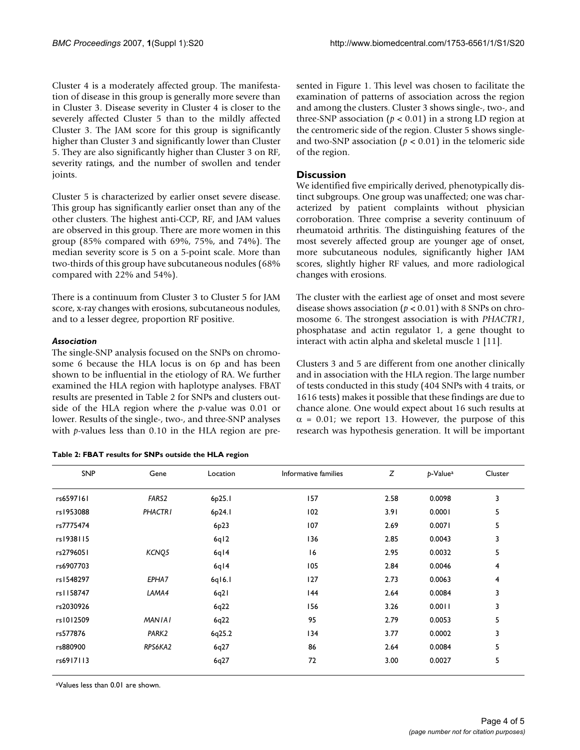Cluster 4 is a moderately affected group. The manifestation of disease in this group is generally more severe than in Cluster 3. Disease severity in Cluster 4 is closer to the severely affected Cluster 5 than to the mildly affected Cluster 3. The JAM score for this group is significantly higher than Cluster 3 and significantly lower than Cluster 5. They are also significantly higher than Cluster 3 on RF, severity ratings, and the number of swollen and tender joints.

Cluster 5 is characterized by earlier onset severe disease. This group has significantly earlier onset than any of the other clusters. The highest anti-CCP, RF, and JAM values are observed in this group. There are more women in this group (85% compared with 69%, 75%, and 74%). The median severity score is 5 on a 5-point scale. More than two-thirds of this group have subcutaneous nodules (68% compared with 22% and 54%).

There is a continuum from Cluster 3 to Cluster 5 for JAM score, x-ray changes with erosions, subcutaneous nodules, and to a lesser degree, proportion RF positive.

#### *Association*

The single-SNP analysis focused on the SNPs on chromosome 6 because the HLA locus is on 6p and has been shown to be influential in the etiology of RA. We further examined the HLA region with haplotype analyses. FBAT results are presented in Table 2 for SNPs and clusters outside of the HLA region where the *p*-value was 0.01 or lower. Results of the single-, two-, and three-SNP analyses with *p*-values less than 0.10 in the HLA region are pre-

sented in Figure 1. This level was chosen to facilitate the examination of patterns of association across the region and among the clusters. Cluster 3 shows single-, two-, and three-SNP association  $(p < 0.01)$  in a strong LD region at the centromeric side of the region. Cluster 5 shows singleand two-SNP association  $(p < 0.01)$  in the telomeric side of the region.

#### **Discussion**

We identified five empirically derived, phenotypically distinct subgroups. One group was unaffected; one was characterized by patient complaints without physician corroboration. Three comprise a severity continuum of rheumatoid arthritis. The distinguishing features of the most severely affected group are younger age of onset, more subcutaneous nodules, significantly higher JAM scores, slightly higher RF values, and more radiological changes with erosions.

The cluster with the earliest age of onset and most severe disease shows association (*p* < 0.01) with 8 SNPs on chromosome 6. The strongest association is with *PHACTR1*, phosphatase and actin regulator 1, a gene thought to interact with actin alpha and skeletal muscle 1 [11].

Clusters 3 and 5 are different from one another clinically and in association with the HLA region. The large number of tests conducted in this study (404 SNPs with 4 traits, or 1616 tests) makes it possible that these findings are due to chance alone. One would expect about 16 such results at  $\alpha$  = 0.01; we report 13. However, the purpose of this research was hypothesis generation. It will be important

| <b>SNP</b>  | Gene           | Location           | Informative families | Z    | p-Value <sup>a</sup> | Cluster |
|-------------|----------------|--------------------|----------------------|------|----------------------|---------|
| rs6597161   | <b>FARS2</b>   | 6p25.1             | 157                  | 2.58 | 0.0098               | 3       |
| rs1953088   | <b>PHACTRI</b> | 6p24.1             | 102                  | 3.91 | 0.0001               | 5       |
| rs7775474   |                | 6 <sub>p</sub> 23  | 107                  | 2.69 | 0.0071               | 5       |
| rs1938115   |                | 6q12               | 136                  | 2.85 | 0.0043               | 3       |
| rs2796051   | KCNQ5          | $6q$ <sub>14</sub> | 16                   | 2.95 | 0.0032               | 5       |
| rs6907703   |                | 6q14               | 105                  | 2.84 | 0.0046               | 4       |
| rs1548297   | EPHA7          | $6q$   6.1         | 127                  | 2.73 | 0.0063               | 4       |
| rs I 158747 | LAMA4          | 6q21               | 144                  | 2.64 | 0.0084               | 3       |
| rs2030926   |                | 6q22               | 156                  | 3.26 | 0.0011               | 3       |
| rs1012509   | <b>MANIAI</b>  | 6q22               | 95                   | 2.79 | 0.0053               | 5       |
| rs577876    | PARK2          | 6q25.2             | 134                  | 3.77 | 0.0002               | 3       |
| rs880900    | RPS6KA2        | 6q27               | 86                   | 2.64 | 0.0084               | 5       |
| rs6917113   |                | 6q27               | 72                   | 3.00 | 0.0027               | 5       |

aValues less than 0.01 are shown.